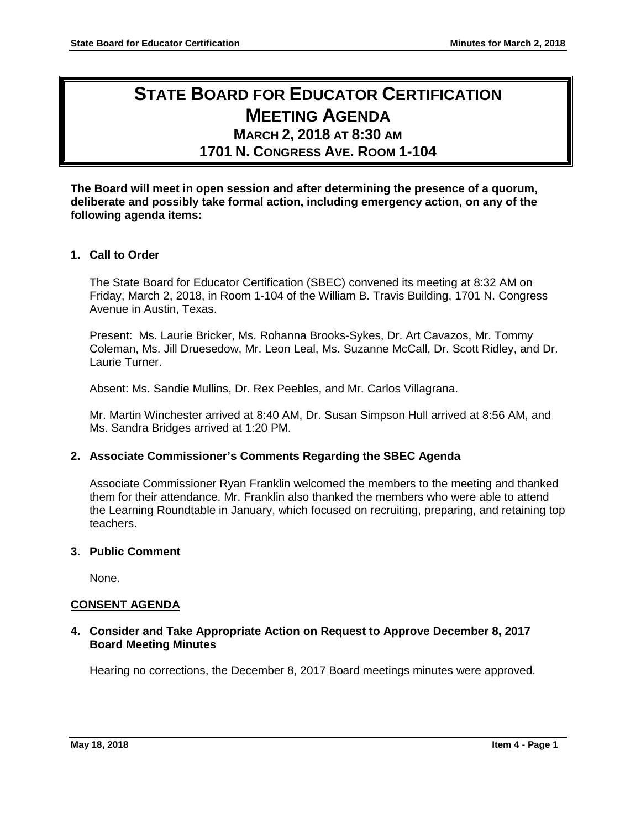# **STATE BOARD FOR EDUCATOR CERTIFICATION MEETING AGENDA**

## **MARCH 2, 2018 AT 8:30 AM**

## **1701 N. CONGRESS AVE. ROOM 1-104**

**The Board will meet in open session and after determining the presence of a quorum, deliberate and possibly take formal action, including emergency action, on any of the following agenda items:**

## **1. Call to Order**

The State Board for Educator Certification (SBEC) convened its meeting at 8:32 AM on Friday, March 2, 2018, in Room 1-104 of the William B. Travis Building, 1701 N. Congress Avenue in Austin, Texas.

Present: Ms. Laurie Bricker, Ms. Rohanna Brooks-Sykes, Dr. Art Cavazos, Mr. Tommy Coleman, Ms. Jill Druesedow, Mr. Leon Leal, Ms. Suzanne McCall, Dr. Scott Ridley, and Dr. Laurie Turner.

Absent: Ms. Sandie Mullins, Dr. Rex Peebles, and Mr. Carlos Villagrana.

Mr. Martin Winchester arrived at 8:40 AM, Dr. Susan Simpson Hull arrived at 8:56 AM, and Ms. Sandra Bridges arrived at 1:20 PM.

## **2. Associate Commissioner's Comments Regarding the SBEC Agenda**

Associate Commissioner Ryan Franklin welcomed the members to the meeting and thanked them for their attendance. Mr. Franklin also thanked the members who were able to attend the Learning Roundtable in January, which focused on recruiting, preparing, and retaining top teachers.

## **3. Public Comment**

None.

## **CONSENT AGENDA**

## **4. Consider and Take Appropriate Action on Request to Approve December 8, 2017 Board Meeting Minutes**

Hearing no corrections, the December 8, 2017 Board meetings minutes were approved.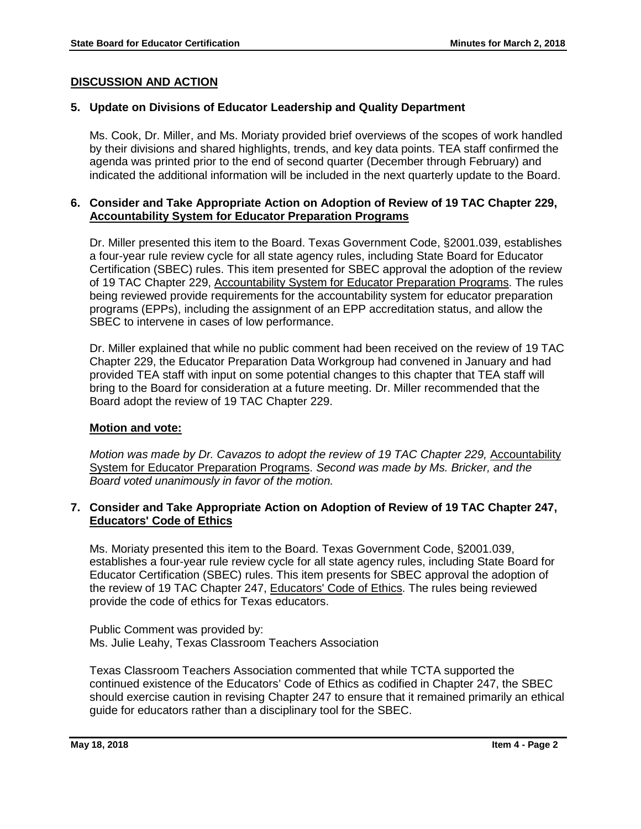## **DISCUSSION AND ACTION**

## **5. Update on Divisions of Educator Leadership and Quality Department**

Ms. Cook, Dr. Miller, and Ms. Moriaty provided brief overviews of the scopes of work handled by their divisions and shared highlights, trends, and key data points. TEA staff confirmed the agenda was printed prior to the end of second quarter (December through February) and indicated the additional information will be included in the next quarterly update to the Board.

#### **6. Consider and Take Appropriate Action on Adoption of Review of 19 TAC Chapter 229, Accountability System for Educator Preparation Programs**

Dr. Miller presented this item to the Board. Texas Government Code, §2001.039, establishes a four-year rule review cycle for all state agency rules, including State Board for Educator Certification (SBEC) rules. This item presented for SBEC approval the adoption of the review of 19 TAC Chapter 229, Accountability System for Educator Preparation Programs. The rules being reviewed provide requirements for the accountability system for educator preparation programs (EPPs), including the assignment of an EPP accreditation status, and allow the SBEC to intervene in cases of low performance.

Dr. Miller explained that while no public comment had been received on the review of 19 TAC Chapter 229, the Educator Preparation Data Workgroup had convened in January and had provided TEA staff with input on some potential changes to this chapter that TEA staff will bring to the Board for consideration at a future meeting. Dr. Miller recommended that the Board adopt the review of 19 TAC Chapter 229.

#### **Motion and vote:**

*Motion was made by Dr. Cavazos to adopt the review of 19 TAC Chapter 229, Accountability* System for Educator Preparation Programs. *Second was made by Ms. Bricker, and the Board voted unanimously in favor of the motion.* 

### **7. Consider and Take Appropriate Action on Adoption of Review of 19 TAC Chapter 247, Educators' Code of Ethics**

Ms. Moriaty presented this item to the Board. Texas Government Code, §2001.039, establishes a four-year rule review cycle for all state agency rules, including State Board for Educator Certification (SBEC) rules. This item presents for SBEC approval the adoption of the review of 19 TAC Chapter 247, Educators' Code of Ethics. The rules being reviewed provide the code of ethics for Texas educators.

Public Comment was provided by: Ms. Julie Leahy, Texas Classroom Teachers Association

Texas Classroom Teachers Association commented that while TCTA supported the continued existence of the Educators' Code of Ethics as codified in Chapter 247, the SBEC should exercise caution in revising Chapter 247 to ensure that it remained primarily an ethical guide for educators rather than a disciplinary tool for the SBEC.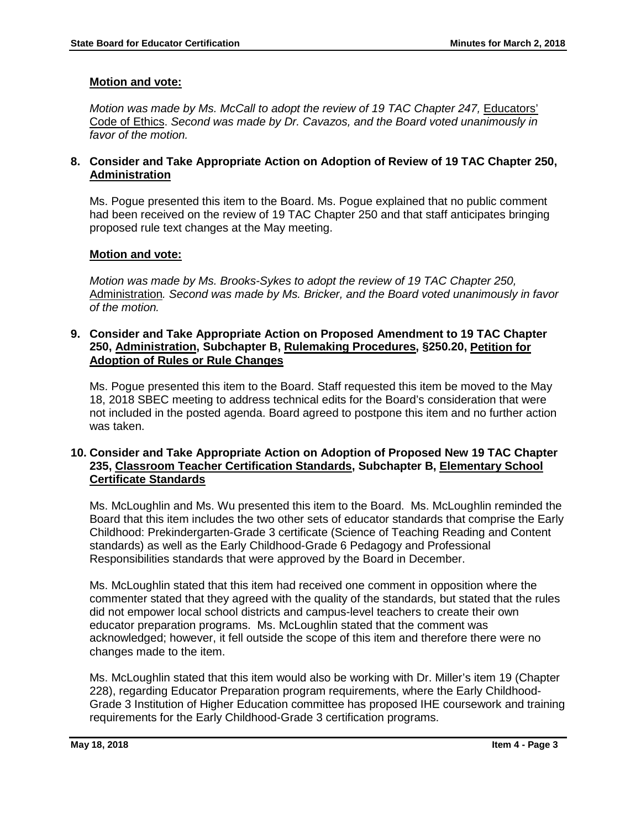## **Motion and vote:**

*Motion was made by Ms. McCall to adopt the review of 19 TAC Chapter 247, Educators'* Code of Ethics. *Second was made by Dr. Cavazos, and the Board voted unanimously in favor of the motion.* 

## **8. Consider and Take Appropriate Action on Adoption of Review of 19 TAC Chapter 250, Administration**

Ms. Pogue presented this item to the Board. Ms. Pogue explained that no public comment had been received on the review of 19 TAC Chapter 250 and that staff anticipates bringing proposed rule text changes at the May meeting.

## **Motion and vote:**

*Motion was made by Ms. Brooks-Sykes to adopt the review of 19 TAC Chapter 250,*  Administration*. Second was made by Ms. Bricker, and the Board voted unanimously in favor of the motion.* 

#### **9. Consider and Take Appropriate Action on Proposed Amendment to 19 TAC Chapter 250, Administration, Subchapter B, Rulemaking Procedures, §250.20, Petition for Adoption of Rules or Rule Changes**

Ms. Pogue presented this item to the Board. Staff requested this item be moved to the May 18, 2018 SBEC meeting to address technical edits for the Board's consideration that were not included in the posted agenda. Board agreed to postpone this item and no further action was taken.

## **10. Consider and Take Appropriate Action on Adoption of Proposed New 19 TAC Chapter 235, Classroom Teacher Certification Standards, Subchapter B, Elementary School Certificate Standards**

Ms. McLoughlin and Ms. Wu presented this item to the Board. Ms. McLoughlin reminded the Board that this item includes the two other sets of educator standards that comprise the Early Childhood: Prekindergarten-Grade 3 certificate (Science of Teaching Reading and Content standards) as well as the Early Childhood-Grade 6 Pedagogy and Professional Responsibilities standards that were approved by the Board in December.

Ms. McLoughlin stated that this item had received one comment in opposition where the commenter stated that they agreed with the quality of the standards, but stated that the rules did not empower local school districts and campus-level teachers to create their own educator preparation programs. Ms. McLoughlin stated that the comment was acknowledged; however, it fell outside the scope of this item and therefore there were no changes made to the item.

Ms. McLoughlin stated that this item would also be working with Dr. Miller's item 19 (Chapter 228), regarding Educator Preparation program requirements, where the Early Childhood-Grade 3 Institution of Higher Education committee has proposed IHE coursework and training requirements for the Early Childhood-Grade 3 certification programs.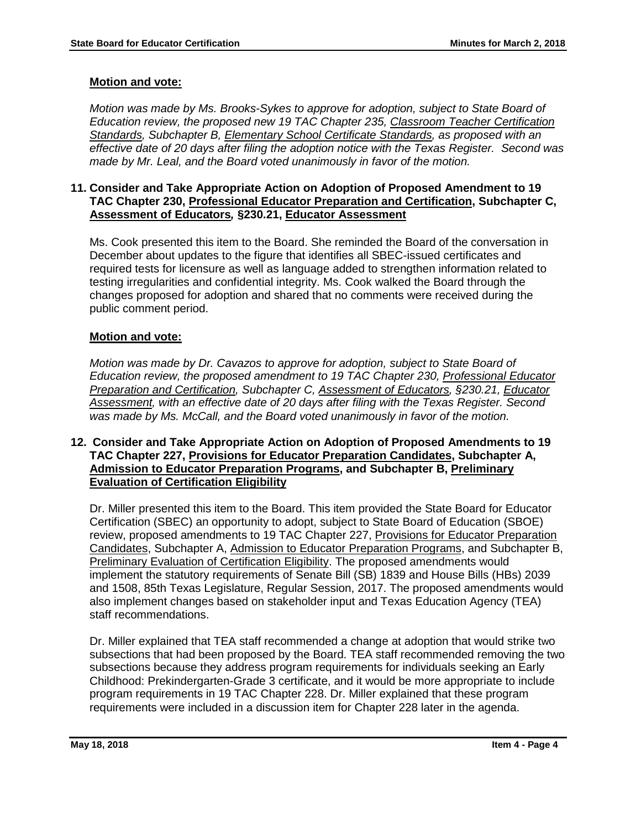## **Motion and vote:**

*Motion was made by Ms. Brooks-Sykes to approve for adoption, subject to State Board of Education review, the proposed new 19 TAC Chapter 235, Classroom Teacher Certification Standards, Subchapter B, Elementary School Certificate Standards, as proposed with an effective date of 20 days after filing the adoption notice with the Texas Register. Second was made by Mr. Leal, and the Board voted unanimously in favor of the motion.* 

#### **11. Consider and Take Appropriate Action on Adoption of Proposed Amendment to 19 TAC Chapter 230, Professional Educator Preparation and Certification, Subchapter C, Assessment of Educators***,* **§230.21, Educator Assessment**

Ms. Cook presented this item to the Board. She reminded the Board of the conversation in December about updates to the figure that identifies all SBEC-issued certificates and required tests for licensure as well as language added to strengthen information related to testing irregularities and confidential integrity. Ms. Cook walked the Board through the changes proposed for adoption and shared that no comments were received during the public comment period.

## **Motion and vote:**

*Motion was made by Dr. Cavazos to approve for adoption, subject to State Board of Education review, the proposed amendment to 19 TAC Chapter 230, Professional Educator Preparation and Certification, Subchapter C, Assessment of Educators, §230.21, Educator Assessment, with an effective date of 20 days after filing with the Texas Register. Second was made by Ms. McCall, and the Board voted unanimously in favor of the motion.*

### **12. Consider and Take Appropriate Action on Adoption of Proposed Amendments to 19 TAC Chapter 227, Provisions for Educator Preparation Candidates, Subchapter A, Admission to Educator Preparation Programs, and Subchapter B, Preliminary Evaluation of Certification Eligibility**

Dr. Miller presented this item to the Board. This item provided the State Board for Educator Certification (SBEC) an opportunity to adopt, subject to State Board of Education (SBOE) review, proposed amendments to 19 TAC Chapter 227, Provisions for Educator Preparation Candidates, Subchapter A, Admission to Educator Preparation Programs, and Subchapter B, Preliminary Evaluation of Certification Eligibility. The proposed amendments would implement the statutory requirements of Senate Bill (SB) 1839 and House Bills (HBs) 2039 and 1508, 85th Texas Legislature, Regular Session, 2017. The proposed amendments would also implement changes based on stakeholder input and Texas Education Agency (TEA) staff recommendations.

Dr. Miller explained that TEA staff recommended a change at adoption that would strike two subsections that had been proposed by the Board. TEA staff recommended removing the two subsections because they address program requirements for individuals seeking an Early Childhood: Prekindergarten-Grade 3 certificate, and it would be more appropriate to include program requirements in 19 TAC Chapter 228. Dr. Miller explained that these program requirements were included in a discussion item for Chapter 228 later in the agenda.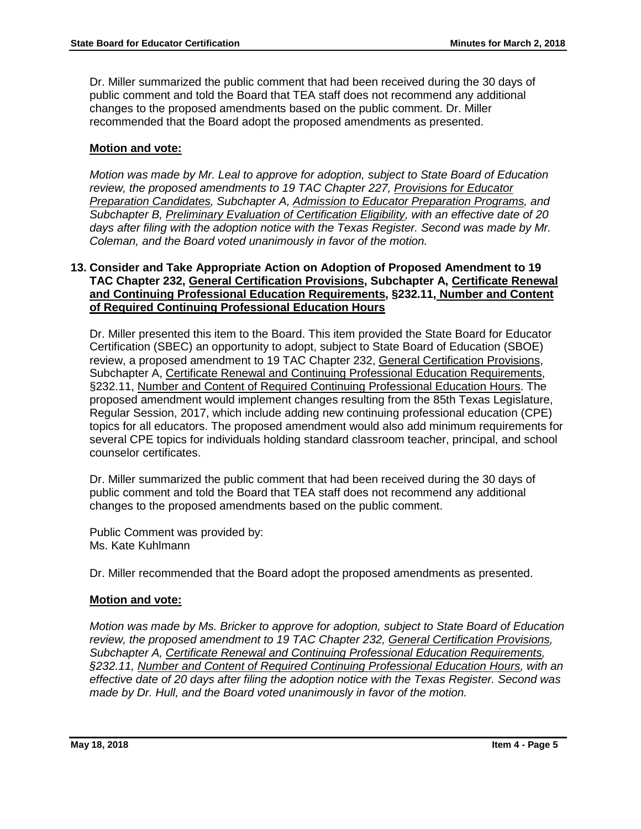Dr. Miller summarized the public comment that had been received during the 30 days of public comment and told the Board that TEA staff does not recommend any additional changes to the proposed amendments based on the public comment. Dr. Miller recommended that the Board adopt the proposed amendments as presented.

## **Motion and vote:**

*Motion was made by Mr. Leal to approve for adoption, subject to State Board of Education review, the proposed amendments to 19 TAC Chapter 227, Provisions for Educator Preparation Candidates, Subchapter A, Admission to Educator Preparation Programs, and Subchapter B, Preliminary Evaluation of Certification Eligibility, with an effective date of 20 days after filing with the adoption notice with the Texas Register. Second was made by Mr. Coleman, and the Board voted unanimously in favor of the motion.* 

#### **13. Consider and Take Appropriate Action on Adoption of Proposed Amendment to 19 TAC Chapter 232, General Certification Provisions, Subchapter A, Certificate Renewal and Continuing Professional Education Requirements, §232.11, Number and Content of Required Continuing Professional Education Hours**

Dr. Miller presented this item to the Board. This item provided the State Board for Educator Certification (SBEC) an opportunity to adopt, subject to State Board of Education (SBOE) review, a proposed amendment to 19 TAC Chapter 232, General Certification Provisions, Subchapter A, Certificate Renewal and Continuing Professional Education Requirements, §232.11, Number and Content of Required Continuing Professional Education Hours. The proposed amendment would implement changes resulting from the 85th Texas Legislature, Regular Session, 2017, which include adding new continuing professional education (CPE) topics for all educators. The proposed amendment would also add minimum requirements for several CPE topics for individuals holding standard classroom teacher, principal, and school counselor certificates.

Dr. Miller summarized the public comment that had been received during the 30 days of public comment and told the Board that TEA staff does not recommend any additional changes to the proposed amendments based on the public comment.

Public Comment was provided by: Ms. Kate Kuhlmann

Dr. Miller recommended that the Board adopt the proposed amendments as presented.

## **Motion and vote:**

*Motion was made by Ms. Bricker to approve for adoption, subject to State Board of Education review, the proposed amendment to 19 TAC Chapter 232, General Certification Provisions, Subchapter A, Certificate Renewal and Continuing Professional Education Requirements, §232.11, Number and Content of Required Continuing Professional Education Hours, with an effective date of 20 days after filing the adoption notice with the Texas Register. Second was made by Dr. Hull, and the Board voted unanimously in favor of the motion.*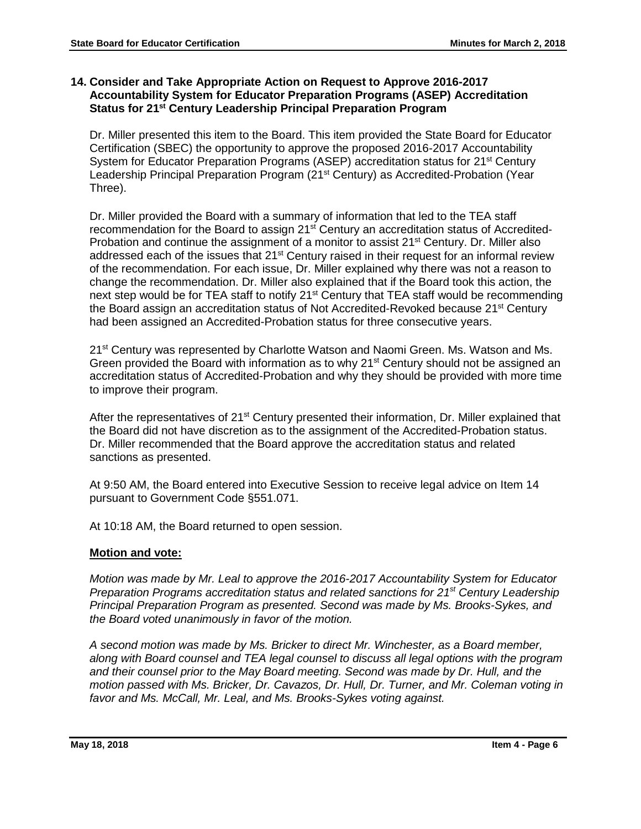## **14. Consider and Take Appropriate Action on Request to Approve 2016-2017 Accountability System for Educator Preparation Programs (ASEP) Accreditation Status for 21st Century Leadership Principal Preparation Program**

Dr. Miller presented this item to the Board. This item provided the State Board for Educator Certification (SBEC) the opportunity to approve the proposed 2016-2017 Accountability System for Educator Preparation Programs (ASEP) accreditation status for 21<sup>st</sup> Century Leadership Principal Preparation Program (21<sup>st</sup> Century) as Accredited-Probation (Year Three).

Dr. Miller provided the Board with a summary of information that led to the TEA staff recommendation for the Board to assign 21st Century an accreditation status of Accredited-Probation and continue the assignment of a monitor to assist 21<sup>st</sup> Century. Dr. Miller also addressed each of the issues that 21<sup>st</sup> Century raised in their request for an informal review of the recommendation. For each issue, Dr. Miller explained why there was not a reason to change the recommendation. Dr. Miller also explained that if the Board took this action, the next step would be for TEA staff to notify 21<sup>st</sup> Century that TEA staff would be recommending the Board assign an accreditation status of Not Accredited-Revoked because 21<sup>st</sup> Century had been assigned an Accredited-Probation status for three consecutive years.

21<sup>st</sup> Century was represented by Charlotte Watson and Naomi Green. Ms. Watson and Ms. Green provided the Board with information as to why 21<sup>st</sup> Century should not be assigned an accreditation status of Accredited-Probation and why they should be provided with more time to improve their program.

After the representatives of 21<sup>st</sup> Century presented their information, Dr. Miller explained that the Board did not have discretion as to the assignment of the Accredited-Probation status. Dr. Miller recommended that the Board approve the accreditation status and related sanctions as presented.

At 9:50 AM, the Board entered into Executive Session to receive legal advice on Item 14 pursuant to Government Code §551.071.

At 10:18 AM, the Board returned to open session.

## **Motion and vote:**

*Motion was made by Mr. Leal to approve the 2016-2017 Accountability System for Educator Preparation Programs accreditation status and related sanctions for 21st Century Leadership Principal Preparation Program as presented. Second was made by Ms. Brooks-Sykes, and the Board voted unanimously in favor of the motion.* 

*A second motion was made by Ms. Bricker to direct Mr. Winchester, as a Board member, along with Board counsel and TEA legal counsel to discuss all legal options with the program and their counsel prior to the May Board meeting. Second was made by Dr. Hull, and the motion passed with Ms. Bricker, Dr. Cavazos, Dr. Hull, Dr. Turner, and Mr. Coleman voting in favor and Ms. McCall, Mr. Leal, and Ms. Brooks-Sykes voting against.*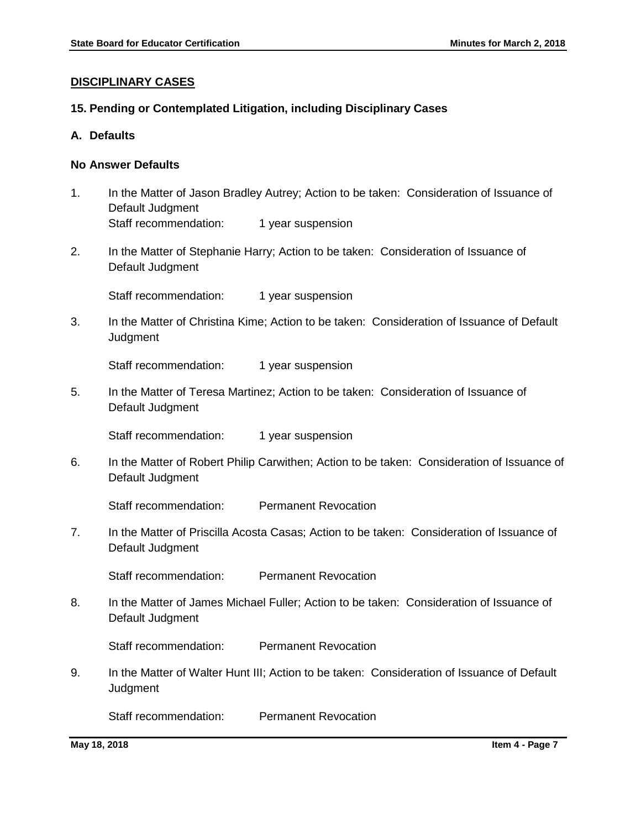#### **DISCIPLINARY CASES**

## **15. Pending or Contemplated Litigation, including Disciplinary Cases**

**A. Defaults**

## **No Answer Defaults**

- 1. In the Matter of Jason Bradley Autrey; Action to be taken: Consideration of Issuance of Default Judgment Staff recommendation: 1 year suspension
- 2. In the Matter of Stephanie Harry; Action to be taken: Consideration of Issuance of Default Judgment

Staff recommendation: 1 year suspension

3. In the Matter of Christina Kime; Action to be taken: Consideration of Issuance of Default Judgment

Staff recommendation: 1 year suspension

5. In the Matter of Teresa Martinez; Action to be taken: Consideration of Issuance of Default Judgment

Staff recommendation: 1 year suspension

6. In the Matter of Robert Philip Carwithen; Action to be taken: Consideration of Issuance of Default Judgment

Staff recommendation: Permanent Revocation

7. In the Matter of Priscilla Acosta Casas; Action to be taken: Consideration of Issuance of Default Judgment

Staff recommendation: Permanent Revocation

8. In the Matter of James Michael Fuller; Action to be taken: Consideration of Issuance of Default Judgment

Staff recommendation: Permanent Revocation

9. In the Matter of Walter Hunt III; Action to be taken: Consideration of Issuance of Default **Judgment** 

Staff recommendation: Permanent Revocation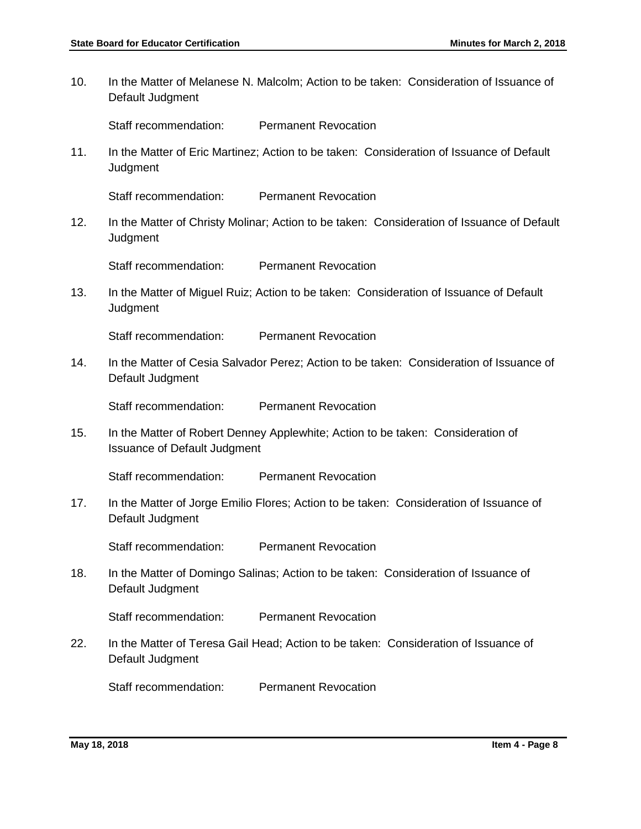10. In the Matter of Melanese N. Malcolm; Action to be taken: Consideration of Issuance of Default Judgment

Staff recommendation: Permanent Revocation

11. In the Matter of Eric Martinez; Action to be taken: Consideration of Issuance of Default **Judgment** 

Staff recommendation: Permanent Revocation

12. In the Matter of Christy Molinar; Action to be taken: Consideration of Issuance of Default **Judgment** 

Staff recommendation: Permanent Revocation

13. In the Matter of Miguel Ruiz; Action to be taken: Consideration of Issuance of Default **Judgment** 

Staff recommendation: Permanent Revocation

14. In the Matter of Cesia Salvador Perez; Action to be taken: Consideration of Issuance of Default Judgment

Staff recommendation: Permanent Revocation

15. In the Matter of Robert Denney Applewhite; Action to be taken: Consideration of Issuance of Default Judgment

Staff recommendation: Permanent Revocation

17. In the Matter of Jorge Emilio Flores; Action to be taken: Consideration of Issuance of Default Judgment

Staff recommendation: Permanent Revocation

18. In the Matter of Domingo Salinas; Action to be taken: Consideration of Issuance of Default Judgment

Staff recommendation: Permanent Revocation

22. In the Matter of Teresa Gail Head; Action to be taken: Consideration of Issuance of Default Judgment

Staff recommendation: Permanent Revocation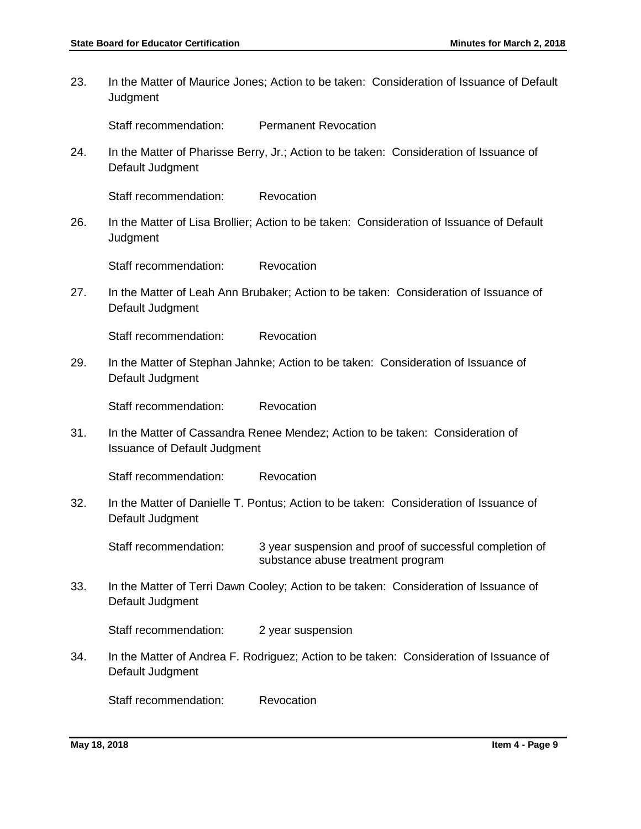23. In the Matter of Maurice Jones; Action to be taken: Consideration of Issuance of Default **Judgment** 

Staff recommendation: Permanent Revocation

24. In the Matter of Pharisse Berry, Jr.; Action to be taken: Consideration of Issuance of Default Judgment

Staff recommendation: Revocation

26. In the Matter of Lisa Brollier; Action to be taken: Consideration of Issuance of Default **Judgment** 

Staff recommendation: Revocation

27. In the Matter of Leah Ann Brubaker; Action to be taken: Consideration of Issuance of Default Judgment

Staff recommendation: Revocation

29. In the Matter of Stephan Jahnke; Action to be taken: Consideration of Issuance of Default Judgment

Staff recommendation: Revocation

31. In the Matter of Cassandra Renee Mendez; Action to be taken: Consideration of Issuance of Default Judgment

Staff recommendation: Revocation

32. In the Matter of Danielle T. Pontus; Action to be taken: Consideration of Issuance of Default Judgment

Staff recommendation: 3 year suspension and proof of successful completion of substance abuse treatment program

33. In the Matter of Terri Dawn Cooley; Action to be taken: Consideration of Issuance of Default Judgment

Staff recommendation: 2 year suspension

34. In the Matter of Andrea F. Rodriguez; Action to be taken: Consideration of Issuance of Default Judgment

Staff recommendation: Revocation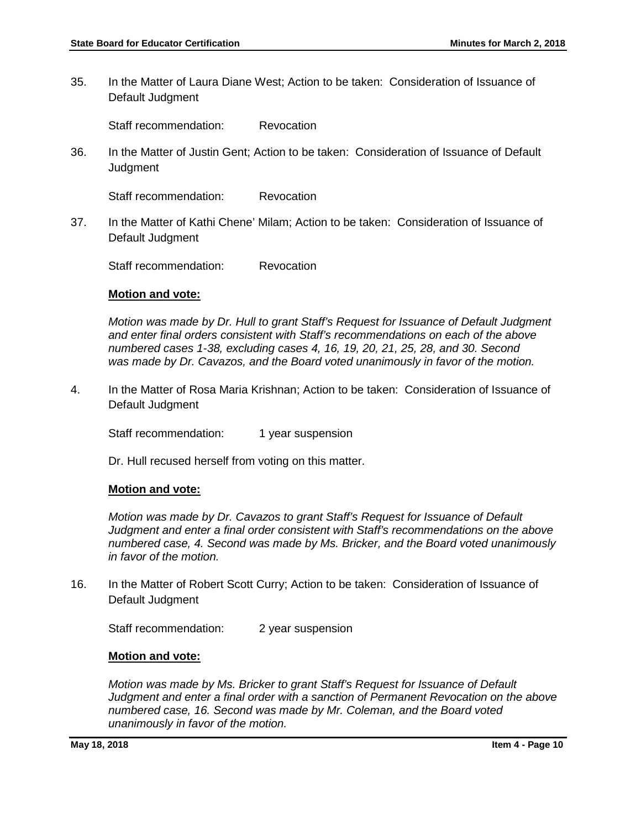35. In the Matter of Laura Diane West; Action to be taken: Consideration of Issuance of Default Judgment

Staff recommendation: Revocation

36. In the Matter of Justin Gent; Action to be taken: Consideration of Issuance of Default Judgment

Staff recommendation: Revocation

37. In the Matter of Kathi Chene' Milam; Action to be taken: Consideration of Issuance of Default Judgment

Staff recommendation: Revocation

#### **Motion and vote:**

*Motion was made by Dr. Hull to grant Staff's Request for Issuance of Default Judgment and enter final orders consistent with Staff's recommendations on each of the above numbered cases 1-38, excluding cases 4, 16, 19, 20, 21, 25, 28, and 30. Second was made by Dr. Cavazos, and the Board voted unanimously in favor of the motion.* 

4. In the Matter of Rosa Maria Krishnan; Action to be taken: Consideration of Issuance of Default Judgment

Staff recommendation: 1 year suspension

Dr. Hull recused herself from voting on this matter.

#### **Motion and vote:**

*Motion was made by Dr. Cavazos to grant Staff's Request for Issuance of Default Judgment and enter a final order consistent with Staff's recommendations on the above numbered case, 4. Second was made by Ms. Bricker, and the Board voted unanimously in favor of the motion.* 

16. In the Matter of Robert Scott Curry; Action to be taken: Consideration of Issuance of Default Judgment

Staff recommendation: 2 year suspension

#### **Motion and vote:**

*Motion was made by Ms. Bricker to grant Staff's Request for Issuance of Default Judgment and enter a final order with a sanction of Permanent Revocation on the above numbered case, 16. Second was made by Mr. Coleman, and the Board voted unanimously in favor of the motion.*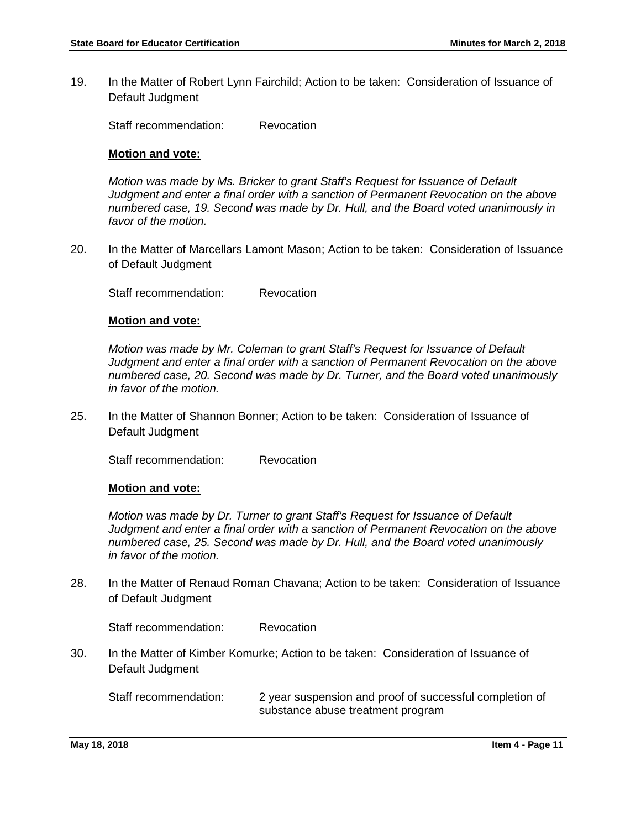19. In the Matter of Robert Lynn Fairchild; Action to be taken: Consideration of Issuance of Default Judgment

Staff recommendation: Revocation

#### **Motion and vote:**

*Motion was made by Ms. Bricker to grant Staff's Request for Issuance of Default Judgment and enter a final order with a sanction of Permanent Revocation on the above numbered case, 19. Second was made by Dr. Hull, and the Board voted unanimously in favor of the motion.*

20. In the Matter of Marcellars Lamont Mason; Action to be taken: Consideration of Issuance of Default Judgment

Staff recommendation: Revocation

#### **Motion and vote:**

*Motion was made by Mr. Coleman to grant Staff's Request for Issuance of Default Judgment and enter a final order with a sanction of Permanent Revocation on the above numbered case, 20. Second was made by Dr. Turner, and the Board voted unanimously in favor of the motion.*

25. In the Matter of Shannon Bonner; Action to be taken: Consideration of Issuance of Default Judgment

Staff recommendation: Revocation

#### **Motion and vote:**

*Motion was made by Dr. Turner to grant Staff's Request for Issuance of Default Judgment and enter a final order with a sanction of Permanent Revocation on the above numbered case, 25. Second was made by Dr. Hull, and the Board voted unanimously in favor of the motion.*

28. In the Matter of Renaud Roman Chavana; Action to be taken: Consideration of Issuance of Default Judgment

Staff recommendation: Revocation

30. In the Matter of Kimber Komurke; Action to be taken: Consideration of Issuance of Default Judgment

Staff recommendation: 2 year suspension and proof of successful completion of substance abuse treatment program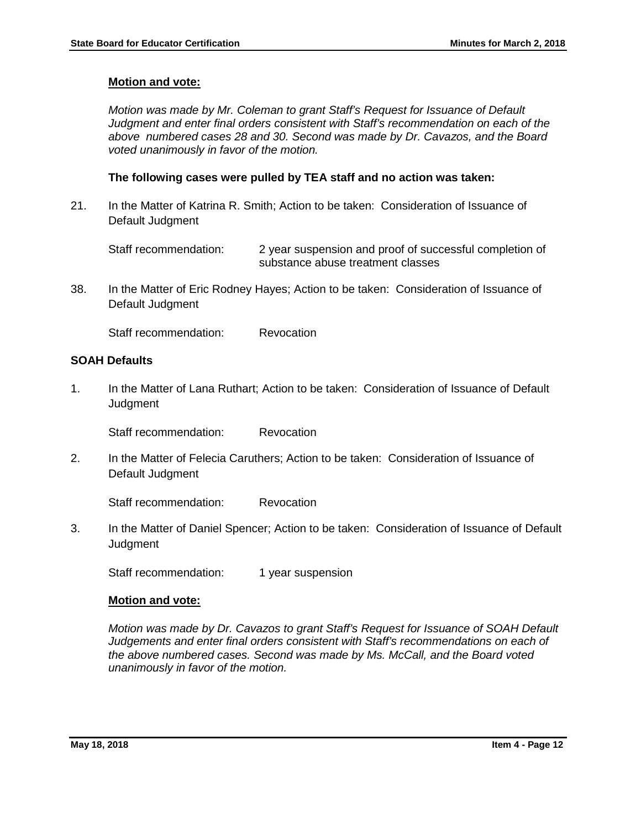#### **Motion and vote:**

*Motion was made by Mr. Coleman to grant Staff's Request for Issuance of Default Judgment and enter final orders consistent with Staff's recommendation on each of the above numbered cases 28 and 30. Second was made by Dr. Cavazos, and the Board voted unanimously in favor of the motion.*

#### **The following cases were pulled by TEA staff and no action was taken:**

21. In the Matter of Katrina R. Smith; Action to be taken: Consideration of Issuance of Default Judgment

Staff recommendation: 2 year suspension and proof of successful completion of substance abuse treatment classes

38. In the Matter of Eric Rodney Hayes; Action to be taken: Consideration of Issuance of Default Judgment

Staff recommendation: Revocation

### **SOAH Defaults**

1. In the Matter of Lana Ruthart; Action to be taken: Consideration of Issuance of Default **Judgment** 

Staff recommendation: Revocation

2. In the Matter of Felecia Caruthers; Action to be taken: Consideration of Issuance of Default Judgment

Staff recommendation: Revocation

3. In the Matter of Daniel Spencer; Action to be taken: Consideration of Issuance of Default **Judament** 

Staff recommendation: 1 year suspension

#### **Motion and vote:**

*Motion was made by Dr. Cavazos to grant Staff's Request for Issuance of SOAH Default Judgements and enter final orders consistent with Staff's recommendations on each of the above numbered cases. Second was made by Ms. McCall, and the Board voted unanimously in favor of the motion.*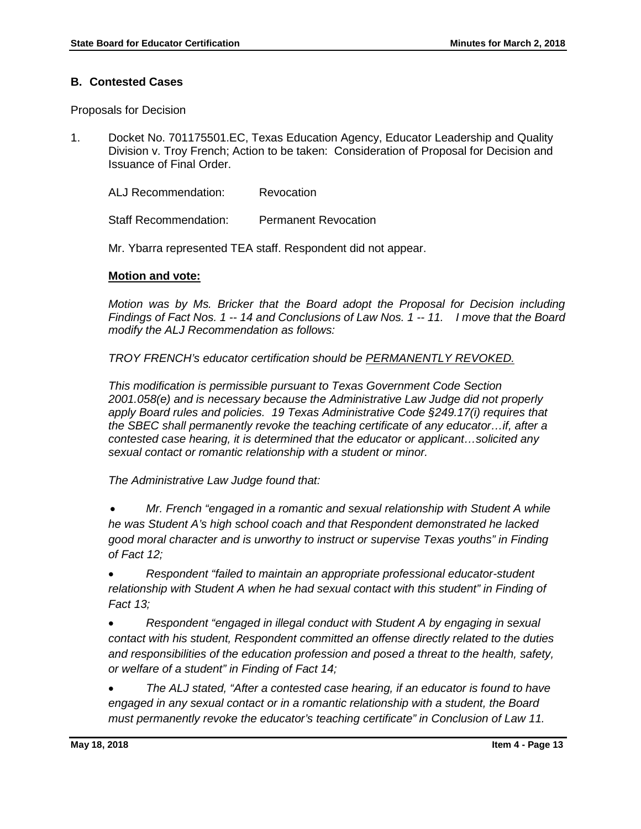## **B. Contested Cases**

Proposals for Decision

1. Docket No. 701175501.EC, Texas Education Agency, Educator Leadership and Quality Division v. Troy French; Action to be taken: Consideration of Proposal for Decision and Issuance of Final Order.

ALJ Recommendation: Revocation

Staff Recommendation: Permanent Revocation

Mr. Ybarra represented TEA staff. Respondent did not appear.

### **Motion and vote:**

*Motion was by Ms. Bricker that the Board adopt the Proposal for Decision including Findings of Fact Nos. 1 -- 14 and Conclusions of Law Nos. 1 -- 11. I move that the Board modify the ALJ Recommendation as follows:*

*TROY FRENCH's educator certification should be PERMANENTLY REVOKED.*

*This modification is permissible pursuant to Texas Government Code Section 2001.058(e) and is necessary because the Administrative Law Judge did not properly apply Board rules and policies. 19 Texas Administrative Code §249.17(i) requires that the SBEC shall permanently revoke the teaching certificate of any educator…if, after a contested case hearing, it is determined that the educator or applicant…solicited any sexual contact or romantic relationship with a student or minor.* 

*The Administrative Law Judge found that:*

• *Mr. French "engaged in a romantic and sexual relationship with Student A while he was Student A's high school coach and that Respondent demonstrated he lacked good moral character and is unworthy to instruct or supervise Texas youths" in Finding of Fact 12;* 

• *Respondent "failed to maintain an appropriate professional educator-student relationship with Student A when he had sexual contact with this student" in Finding of Fact 13;*

• *Respondent "engaged in illegal conduct with Student A by engaging in sexual contact with his student, Respondent committed an offense directly related to the duties and responsibilities of the education profession and posed a threat to the health, safety, or welfare of a student" in Finding of Fact 14;* 

• *The ALJ stated, "After a contested case hearing, if an educator is found to have engaged in any sexual contact or in a romantic relationship with a student, the Board must permanently revoke the educator's teaching certificate" in Conclusion of Law 11.*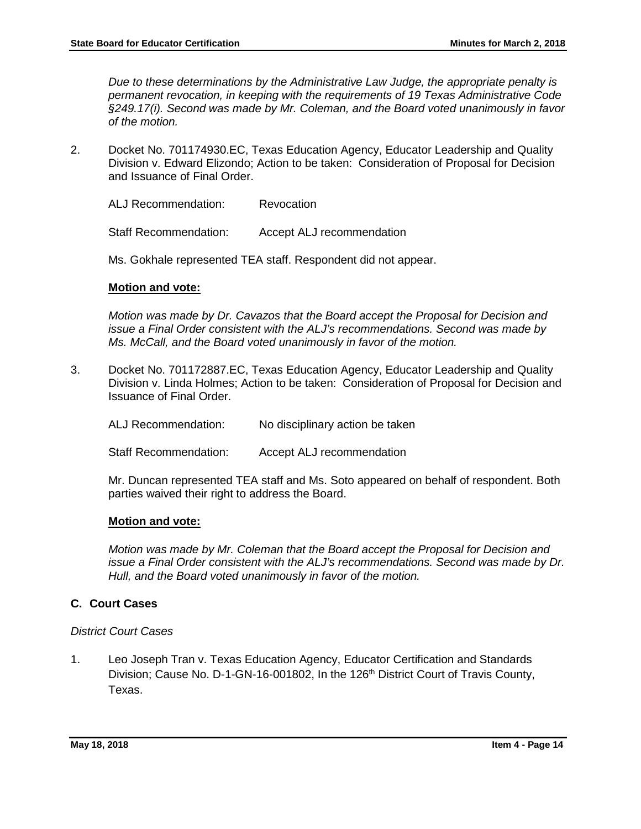*Due to these determinations by the Administrative Law Judge, the appropriate penalty is permanent revocation, in keeping with the requirements of 19 Texas Administrative Code §249.17(i). Second was made by Mr. Coleman, and the Board voted unanimously in favor of the motion.* 

2. Docket No. 701174930.EC, Texas Education Agency, Educator Leadership and Quality Division v. Edward Elizondo; Action to be taken: Consideration of Proposal for Decision and Issuance of Final Order.

ALJ Recommendation: Revocation

Staff Recommendation: Accept ALJ recommendation

Ms. Gokhale represented TEA staff. Respondent did not appear.

### **Motion and vote:**

*Motion was made by Dr. Cavazos that the Board accept the Proposal for Decision and issue a Final Order consistent with the ALJ's recommendations. Second was made by Ms. McCall, and the Board voted unanimously in favor of the motion.* 

3. Docket No. 701172887.EC, Texas Education Agency, Educator Leadership and Quality Division v. Linda Holmes; Action to be taken: Consideration of Proposal for Decision and Issuance of Final Order.

| ALJ Recommendation: | No disciplinary action be taken |
|---------------------|---------------------------------|
|---------------------|---------------------------------|

Staff Recommendation: Accept ALJ recommendation

Mr. Duncan represented TEA staff and Ms. Soto appeared on behalf of respondent. Both parties waived their right to address the Board.

#### **Motion and vote:**

*Motion was made by Mr. Coleman that the Board accept the Proposal for Decision and issue a Final Order consistent with the ALJ's recommendations. Second was made by Dr. Hull, and the Board voted unanimously in favor of the motion.* 

## **C. Court Cases**

#### *District Court Cases*

1. Leo Joseph Tran v. Texas Education Agency, Educator Certification and Standards Division; Cause No. D-1-GN-16-001802, In the 126<sup>th</sup> District Court of Travis County, Texas.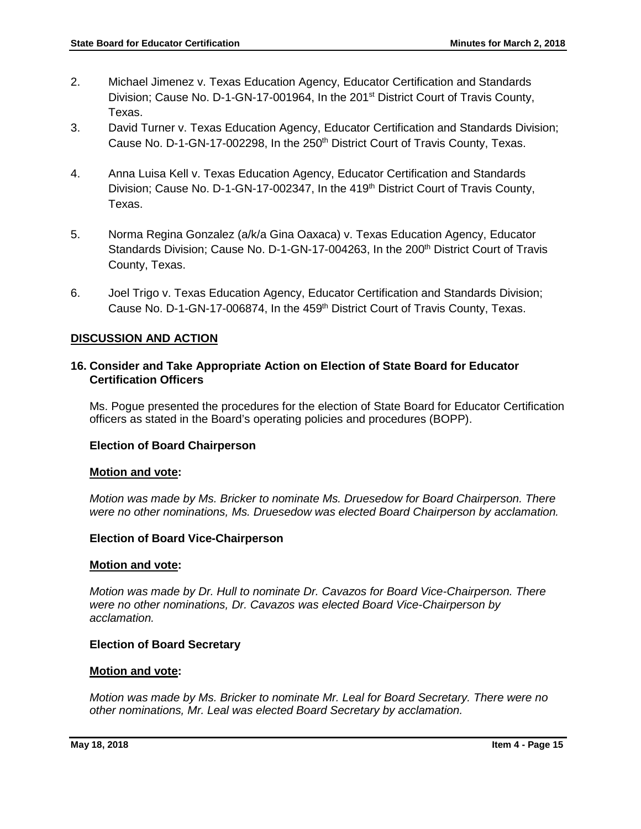- 2. Michael Jimenez v. Texas Education Agency, Educator Certification and Standards Division; Cause No. D-1-GN-17-001964, In the 201<sup>st</sup> District Court of Travis County, Texas.
- 3. David Turner v. Texas Education Agency, Educator Certification and Standards Division; Cause No. D-1-GN-17-002298, In the 250<sup>th</sup> District Court of Travis County, Texas.
- 4. Anna Luisa Kell v. Texas Education Agency, Educator Certification and Standards Division; Cause No. D-1-GN-17-002347, In the 419<sup>th</sup> District Court of Travis County, Texas.
- 5. Norma Regina Gonzalez (a/k/a Gina Oaxaca) v. Texas Education Agency, Educator Standards Division; Cause No. D-1-GN-17-004263, In the 200<sup>th</sup> District Court of Travis County, Texas.
- 6. Joel Trigo v. Texas Education Agency, Educator Certification and Standards Division; Cause No. D-1-GN-17-006874, In the 459<sup>th</sup> District Court of Travis County, Texas.

## **DISCUSSION AND ACTION**

## **16. Consider and Take Appropriate Action on Election of State Board for Educator Certification Officers**

Ms. Pogue presented the procedures for the election of State Board for Educator Certification officers as stated in the Board's operating policies and procedures (BOPP).

## **Election of Board Chairperson**

#### **Motion and vote:**

*Motion was made by Ms. Bricker to nominate Ms. Druesedow for Board Chairperson. There were no other nominations, Ms. Druesedow was elected Board Chairperson by acclamation.*

## **Election of Board Vice-Chairperson**

#### **Motion and vote:**

*Motion was made by Dr. Hull to nominate Dr. Cavazos for Board Vice-Chairperson. There were no other nominations, Dr. Cavazos was elected Board Vice-Chairperson by acclamation.*

#### **Election of Board Secretary**

#### **Motion and vote:**

*Motion was made by Ms. Bricker to nominate Mr. Leal for Board Secretary. There were no other nominations, Mr. Leal was elected Board Secretary by acclamation.*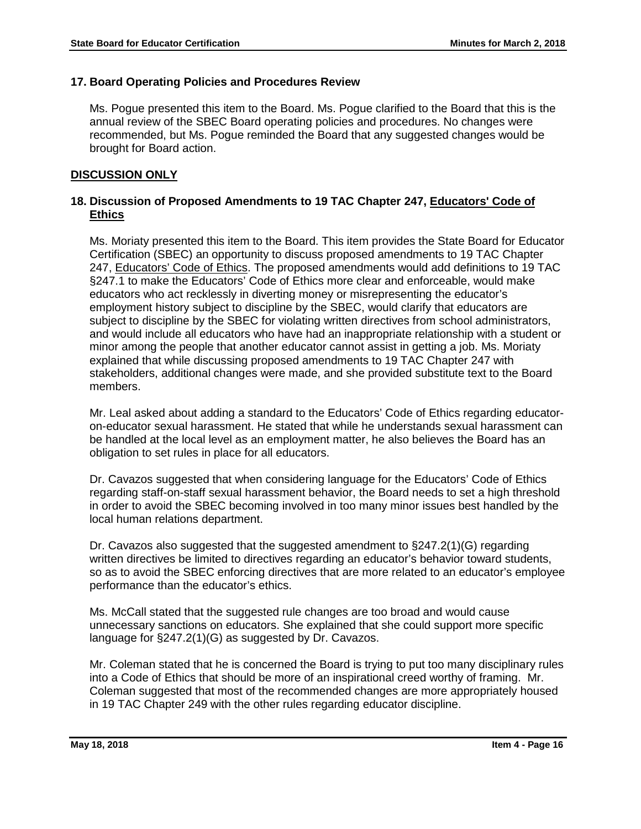## **17. Board Operating Policies and Procedures Review**

Ms. Pogue presented this item to the Board. Ms. Pogue clarified to the Board that this is the annual review of the SBEC Board operating policies and procedures. No changes were recommended, but Ms. Pogue reminded the Board that any suggested changes would be brought for Board action.

## **DISCUSSION ONLY**

## **18. Discussion of Proposed Amendments to 19 TAC Chapter 247, Educators' Code of Ethics**

Ms. Moriaty presented this item to the Board. This item provides the State Board for Educator Certification (SBEC) an opportunity to discuss proposed amendments to 19 TAC Chapter 247, Educators' Code of Ethics. The proposed amendments would add definitions to 19 TAC §247.1 to make the Educators' Code of Ethics more clear and enforceable, would make educators who act recklessly in diverting money or misrepresenting the educator's employment history subject to discipline by the SBEC, would clarify that educators are subject to discipline by the SBEC for violating written directives from school administrators, and would include all educators who have had an inappropriate relationship with a student or minor among the people that another educator cannot assist in getting a job. Ms. Moriaty explained that while discussing proposed amendments to 19 TAC Chapter 247 with stakeholders, additional changes were made, and she provided substitute text to the Board members.

Mr. Leal asked about adding a standard to the Educators' Code of Ethics regarding educatoron-educator sexual harassment. He stated that while he understands sexual harassment can be handled at the local level as an employment matter, he also believes the Board has an obligation to set rules in place for all educators.

Dr. Cavazos suggested that when considering language for the Educators' Code of Ethics regarding staff-on-staff sexual harassment behavior, the Board needs to set a high threshold in order to avoid the SBEC becoming involved in too many minor issues best handled by the local human relations department.

Dr. Cavazos also suggested that the suggested amendment to §247.2(1)(G) regarding written directives be limited to directives regarding an educator's behavior toward students, so as to avoid the SBEC enforcing directives that are more related to an educator's employee performance than the educator's ethics.

Ms. McCall stated that the suggested rule changes are too broad and would cause unnecessary sanctions on educators. She explained that she could support more specific language for §247.2(1)(G) as suggested by Dr. Cavazos.

Mr. Coleman stated that he is concerned the Board is trying to put too many disciplinary rules into a Code of Ethics that should be more of an inspirational creed worthy of framing. Mr. Coleman suggested that most of the recommended changes are more appropriately housed in 19 TAC Chapter 249 with the other rules regarding educator discipline.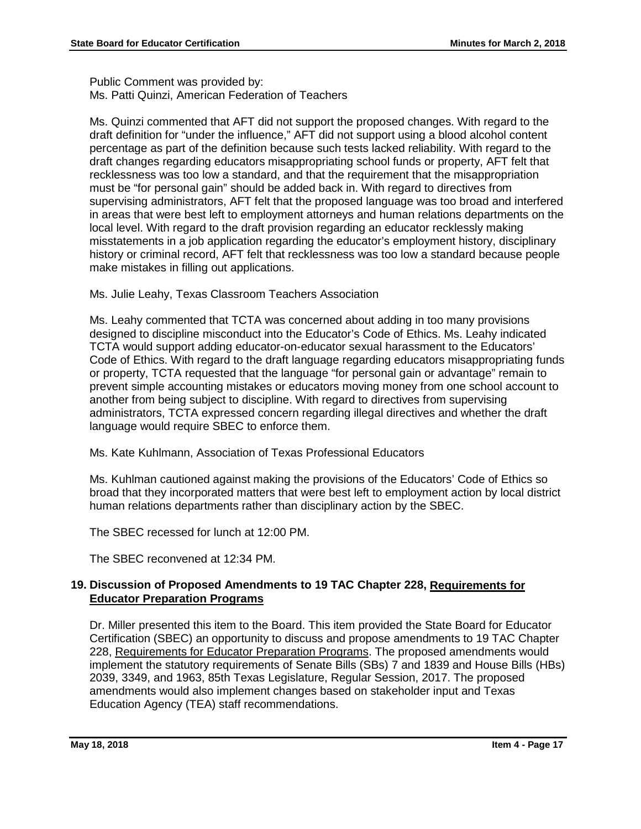Public Comment was provided by: Ms. Patti Quinzi, American Federation of Teachers

Ms. Quinzi commented that AFT did not support the proposed changes. With regard to the draft definition for "under the influence," AFT did not support using a blood alcohol content percentage as part of the definition because such tests lacked reliability. With regard to the draft changes regarding educators misappropriating school funds or property, AFT felt that recklessness was too low a standard, and that the requirement that the misappropriation must be "for personal gain" should be added back in. With regard to directives from supervising administrators, AFT felt that the proposed language was too broad and interfered in areas that were best left to employment attorneys and human relations departments on the local level. With regard to the draft provision regarding an educator recklessly making misstatements in a job application regarding the educator's employment history, disciplinary history or criminal record, AFT felt that recklessness was too low a standard because people make mistakes in filling out applications.

Ms. Julie Leahy, Texas Classroom Teachers Association

Ms. Leahy commented that TCTA was concerned about adding in too many provisions designed to discipline misconduct into the Educator's Code of Ethics. Ms. Leahy indicated TCTA would support adding educator-on-educator sexual harassment to the Educators' Code of Ethics. With regard to the draft language regarding educators misappropriating funds or property, TCTA requested that the language "for personal gain or advantage" remain to prevent simple accounting mistakes or educators moving money from one school account to another from being subject to discipline. With regard to directives from supervising administrators, TCTA expressed concern regarding illegal directives and whether the draft language would require SBEC to enforce them.

Ms. Kate Kuhlmann, Association of Texas Professional Educators

Ms. Kuhlman cautioned against making the provisions of the Educators' Code of Ethics so broad that they incorporated matters that were best left to employment action by local district human relations departments rather than disciplinary action by the SBEC.

The SBEC recessed for lunch at 12:00 PM.

The SBEC reconvened at 12:34 PM.

## **19. Discussion of Proposed Amendments to 19 TAC Chapter 228, Requirements for Educator Preparation Programs**

Dr. Miller presented this item to the Board. This item provided the State Board for Educator Certification (SBEC) an opportunity to discuss and propose amendments to 19 TAC Chapter 228, Requirements for Educator Preparation Programs. The proposed amendments would implement the statutory requirements of Senate Bills (SBs) 7 and 1839 and House Bills (HBs) 2039, 3349, and 1963, 85th Texas Legislature, Regular Session, 2017. The proposed amendments would also implement changes based on stakeholder input and Texas Education Agency (TEA) staff recommendations.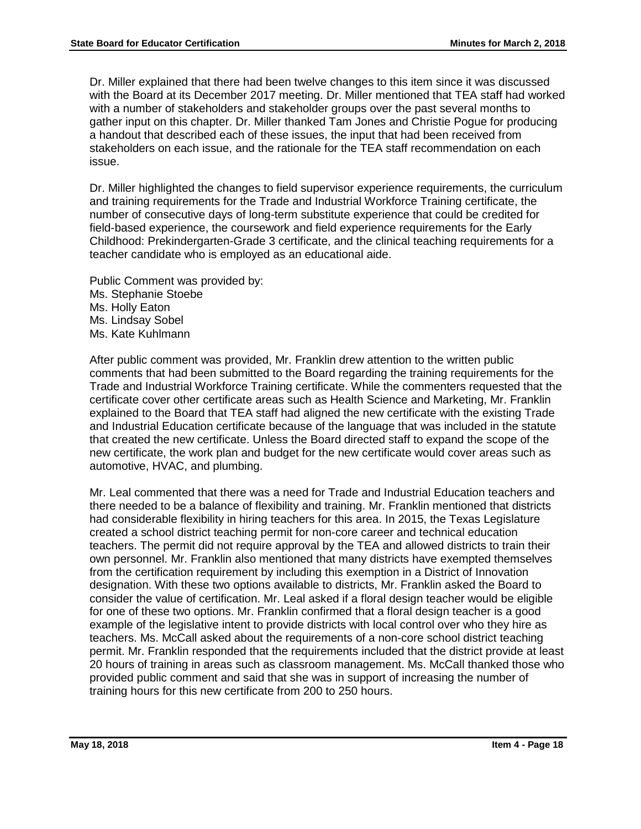Dr. Miller explained that there had been twelve changes to this item since it was discussed with the Board at its December 2017 meeting. Dr. Miller mentioned that TEA staff had worked with a number of stakeholders and stakeholder groups over the past several months to gather input on this chapter. Dr. Miller thanked Tam Jones and Christie Pogue for producing a handout that described each of these issues, the input that had been received from stakeholders on each issue, and the rationale for the TEA staff recommendation on each issue.

Dr. Miller highlighted the changes to field supervisor experience requirements, the curriculum and training requirements for the Trade and Industrial Workforce Training certificate, the number of consecutive days of long-term substitute experience that could be credited for field-based experience, the coursework and field experience requirements for the Early Childhood: Prekindergarten-Grade 3 certificate, and the clinical teaching requirements for a teacher candidate who is employed as an educational aide.

Public Comment was provided by: Ms. Stephanie Stoebe Ms. Holly Eaton Ms. Lindsay Sobel Ms. Kate Kuhlmann

After public comment was provided, Mr. Franklin drew attention to the written public comments that had been submitted to the Board regarding the training requirements for the Trade and Industrial Workforce Training certificate. While the commenters requested that the certificate cover other certificate areas such as Health Science and Marketing, Mr. Franklin explained to the Board that TEA staff had aligned the new certificate with the existing Trade and Industrial Education certificate because of the language that was included in the statute that created the new certificate. Unless the Board directed staff to expand the scope of the new certificate, the work plan and budget for the new certificate would cover areas such as automotive, HVAC, and plumbing.

Mr. Leal commented that there was a need for Trade and Industrial Education teachers and there needed to be a balance of flexibility and training. Mr. Franklin mentioned that districts had considerable flexibility in hiring teachers for this area. In 2015, the Texas Legislature created a school district teaching permit for non-core career and technical education teachers. The permit did not require approval by the TEA and allowed districts to train their own personnel. Mr. Franklin also mentioned that many districts have exempted themselves from the certification requirement by including this exemption in a District of Innovation designation. With these two options available to districts, Mr. Franklin asked the Board to consider the value of certification. Mr. Leal asked if a floral design teacher would be eligible for one of these two options. Mr. Franklin confirmed that a floral design teacher is a good example of the legislative intent to provide districts with local control over who they hire as teachers. Ms. McCall asked about the requirements of a non-core school district teaching permit. Mr. Franklin responded that the requirements included that the district provide at least 20 hours of training in areas such as classroom management. Ms. McCall thanked those who provided public comment and said that she was in support of increasing the number of training hours for this new certificate from 200 to 250 hours.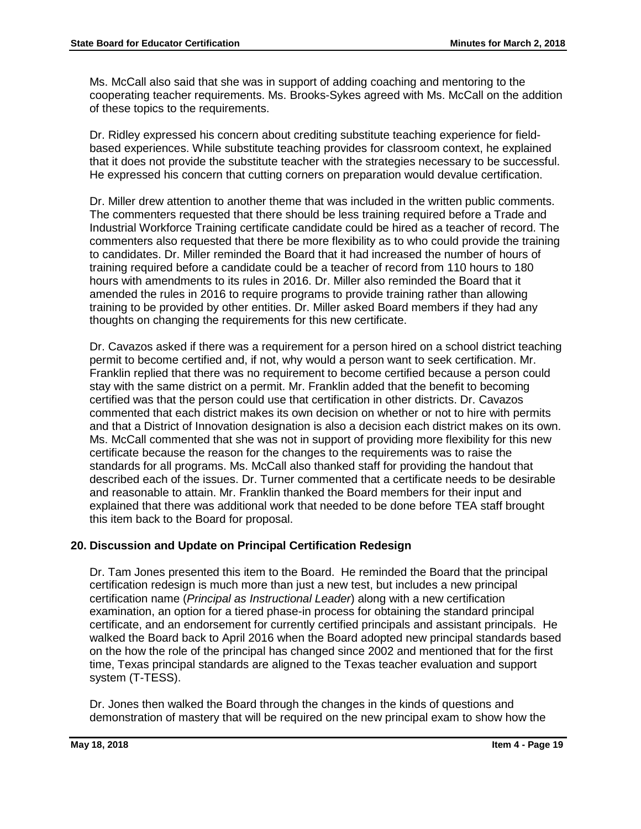Ms. McCall also said that she was in support of adding coaching and mentoring to the cooperating teacher requirements. Ms. Brooks-Sykes agreed with Ms. McCall on the addition of these topics to the requirements.

Dr. Ridley expressed his concern about crediting substitute teaching experience for fieldbased experiences. While substitute teaching provides for classroom context, he explained that it does not provide the substitute teacher with the strategies necessary to be successful. He expressed his concern that cutting corners on preparation would devalue certification.

Dr. Miller drew attention to another theme that was included in the written public comments. The commenters requested that there should be less training required before a Trade and Industrial Workforce Training certificate candidate could be hired as a teacher of record. The commenters also requested that there be more flexibility as to who could provide the training to candidates. Dr. Miller reminded the Board that it had increased the number of hours of training required before a candidate could be a teacher of record from 110 hours to 180 hours with amendments to its rules in 2016. Dr. Miller also reminded the Board that it amended the rules in 2016 to require programs to provide training rather than allowing training to be provided by other entities. Dr. Miller asked Board members if they had any thoughts on changing the requirements for this new certificate.

Dr. Cavazos asked if there was a requirement for a person hired on a school district teaching permit to become certified and, if not, why would a person want to seek certification. Mr. Franklin replied that there was no requirement to become certified because a person could stay with the same district on a permit. Mr. Franklin added that the benefit to becoming certified was that the person could use that certification in other districts. Dr. Cavazos commented that each district makes its own decision on whether or not to hire with permits and that a District of Innovation designation is also a decision each district makes on its own. Ms. McCall commented that she was not in support of providing more flexibility for this new certificate because the reason for the changes to the requirements was to raise the standards for all programs. Ms. McCall also thanked staff for providing the handout that described each of the issues. Dr. Turner commented that a certificate needs to be desirable and reasonable to attain. Mr. Franklin thanked the Board members for their input and explained that there was additional work that needed to be done before TEA staff brought this item back to the Board for proposal.

## **20. Discussion and Update on Principal Certification Redesign**

Dr. Tam Jones presented this item to the Board. He reminded the Board that the principal certification redesign is much more than just a new test, but includes a new principal certification name (*Principal as Instructional Leader*) along with a new certification examination, an option for a tiered phase-in process for obtaining the standard principal certificate, and an endorsement for currently certified principals and assistant principals. He walked the Board back to April 2016 when the Board adopted new principal standards based on the how the role of the principal has changed since 2002 and mentioned that for the first time, Texas principal standards are aligned to the Texas teacher evaluation and support system (T-TESS).

Dr. Jones then walked the Board through the changes in the kinds of questions and demonstration of mastery that will be required on the new principal exam to show how the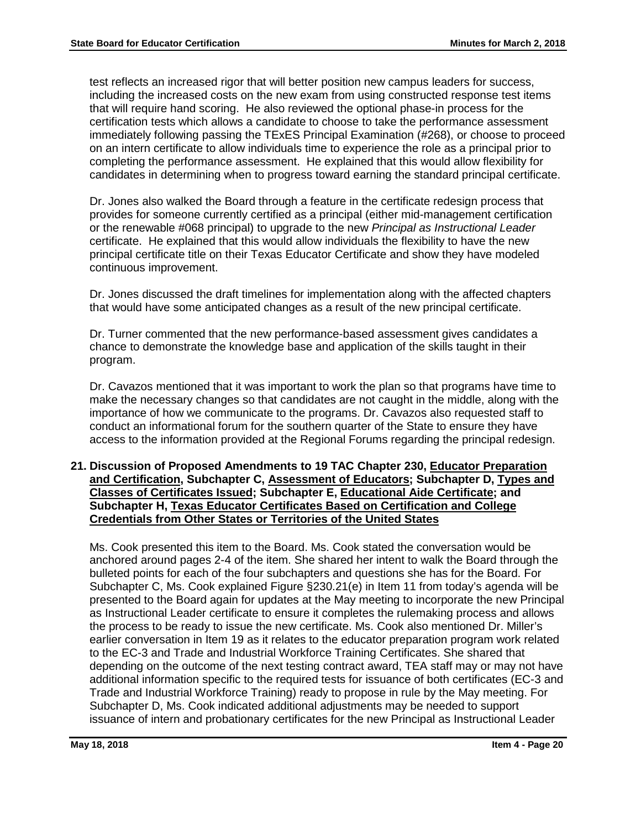test reflects an increased rigor that will better position new campus leaders for success, including the increased costs on the new exam from using constructed response test items that will require hand scoring. He also reviewed the optional phase-in process for the certification tests which allows a candidate to choose to take the performance assessment immediately following passing the TExES Principal Examination (#268), or choose to proceed on an intern certificate to allow individuals time to experience the role as a principal prior to completing the performance assessment. He explained that this would allow flexibility for candidates in determining when to progress toward earning the standard principal certificate.

Dr. Jones also walked the Board through a feature in the certificate redesign process that provides for someone currently certified as a principal (either mid-management certification or the renewable #068 principal) to upgrade to the new *Principal as Instructional Leader* certificate. He explained that this would allow individuals the flexibility to have the new principal certificate title on their Texas Educator Certificate and show they have modeled continuous improvement.

Dr. Jones discussed the draft timelines for implementation along with the affected chapters that would have some anticipated changes as a result of the new principal certificate.

Dr. Turner commented that the new performance-based assessment gives candidates a chance to demonstrate the knowledge base and application of the skills taught in their program.

Dr. Cavazos mentioned that it was important to work the plan so that programs have time to make the necessary changes so that candidates are not caught in the middle, along with the importance of how we communicate to the programs. Dr. Cavazos also requested staff to conduct an informational forum for the southern quarter of the State to ensure they have access to the information provided at the Regional Forums regarding the principal redesign.

## **21. Discussion of Proposed Amendments to 19 TAC Chapter 230, Educator Preparation and Certification, Subchapter C, Assessment of Educators; Subchapter D, Types and Classes of Certificates Issued; Subchapter E, Educational Aide Certificate; and Subchapter H, Texas Educator Certificates Based on Certification and College Credentials from Other States or Territories of the United States**

Ms. Cook presented this item to the Board. Ms. Cook stated the conversation would be anchored around pages 2-4 of the item. She shared her intent to walk the Board through the bulleted points for each of the four subchapters and questions she has for the Board. For Subchapter C, Ms. Cook explained Figure §230.21(e) in Item 11 from today's agenda will be presented to the Board again for updates at the May meeting to incorporate the new Principal as Instructional Leader certificate to ensure it completes the rulemaking process and allows the process to be ready to issue the new certificate. Ms. Cook also mentioned Dr. Miller's earlier conversation in Item 19 as it relates to the educator preparation program work related to the EC-3 and Trade and Industrial Workforce Training Certificates. She shared that depending on the outcome of the next testing contract award, TEA staff may or may not have additional information specific to the required tests for issuance of both certificates (EC-3 and Trade and Industrial Workforce Training) ready to propose in rule by the May meeting. For Subchapter D, Ms. Cook indicated additional adjustments may be needed to support issuance of intern and probationary certificates for the new Principal as Instructional Leader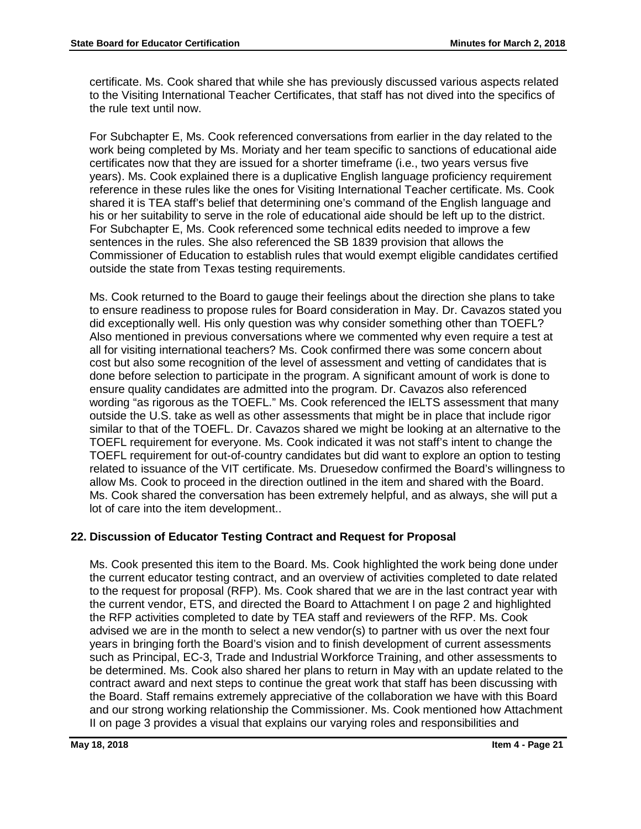certificate. Ms. Cook shared that while she has previously discussed various aspects related to the Visiting International Teacher Certificates, that staff has not dived into the specifics of the rule text until now.

For Subchapter E, Ms. Cook referenced conversations from earlier in the day related to the work being completed by Ms. Moriaty and her team specific to sanctions of educational aide certificates now that they are issued for a shorter timeframe (i.e., two years versus five years). Ms. Cook explained there is a duplicative English language proficiency requirement reference in these rules like the ones for Visiting International Teacher certificate. Ms. Cook shared it is TEA staff's belief that determining one's command of the English language and his or her suitability to serve in the role of educational aide should be left up to the district. For Subchapter E, Ms. Cook referenced some technical edits needed to improve a few sentences in the rules. She also referenced the SB 1839 provision that allows the Commissioner of Education to establish rules that would exempt eligible candidates certified outside the state from Texas testing requirements.

Ms. Cook returned to the Board to gauge their feelings about the direction she plans to take to ensure readiness to propose rules for Board consideration in May. Dr. Cavazos stated you did exceptionally well. His only question was why consider something other than TOEFL? Also mentioned in previous conversations where we commented why even require a test at all for visiting international teachers? Ms. Cook confirmed there was some concern about cost but also some recognition of the level of assessment and vetting of candidates that is done before selection to participate in the program. A significant amount of work is done to ensure quality candidates are admitted into the program. Dr. Cavazos also referenced wording "as rigorous as the TOEFL." Ms. Cook referenced the IELTS assessment that many outside the U.S. take as well as other assessments that might be in place that include rigor similar to that of the TOEFL. Dr. Cavazos shared we might be looking at an alternative to the TOEFL requirement for everyone. Ms. Cook indicated it was not staff's intent to change the TOEFL requirement for out-of-country candidates but did want to explore an option to testing related to issuance of the VIT certificate. Ms. Druesedow confirmed the Board's willingness to allow Ms. Cook to proceed in the direction outlined in the item and shared with the Board. Ms. Cook shared the conversation has been extremely helpful, and as always, she will put a lot of care into the item development..

## **22. Discussion of Educator Testing Contract and Request for Proposal**

Ms. Cook presented this item to the Board. Ms. Cook highlighted the work being done under the current educator testing contract, and an overview of activities completed to date related to the request for proposal (RFP). Ms. Cook shared that we are in the last contract year with the current vendor, ETS, and directed the Board to Attachment I on page 2 and highlighted the RFP activities completed to date by TEA staff and reviewers of the RFP. Ms. Cook advised we are in the month to select a new vendor(s) to partner with us over the next four years in bringing forth the Board's vision and to finish development of current assessments such as Principal, EC-3, Trade and Industrial Workforce Training, and other assessments to be determined. Ms. Cook also shared her plans to return in May with an update related to the contract award and next steps to continue the great work that staff has been discussing with the Board. Staff remains extremely appreciative of the collaboration we have with this Board and our strong working relationship the Commissioner. Ms. Cook mentioned how Attachment II on page 3 provides a visual that explains our varying roles and responsibilities and